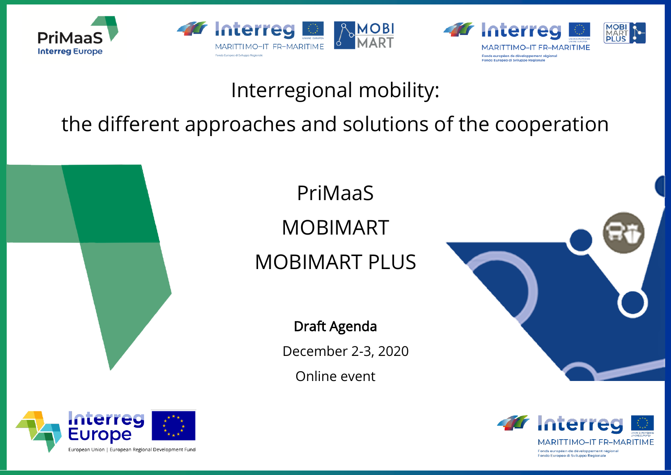





## Interregional mobility:

## the different approaches and solutions of the cooperation



# PriMaaS MOBIMART MOBIMART PLUS



Draft Agenda

December 2-3, 2020

Online event



MOBI<br>MART<br>PLUS



Fonds européen de développement régional Fondo Europeo di Sviluppo Regionale